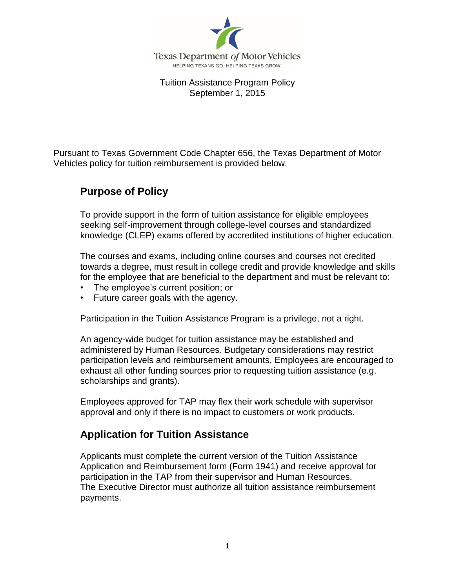

Tuition Assistance Program Policy September 1, 2015

Pursuant to Texas Government Code Chapter 656, the Texas Department of Motor Vehicles policy for tuition reimbursement is provided below.

### **Purpose of Policy**

To provide support in the form of tuition assistance for eligible employees seeking self-improvement through college-level courses and standardized knowledge (CLEP) exams offered by accredited institutions of higher education.

The courses and exams, including online courses and courses not credited towards a degree, must result in college credit and provide knowledge and skills for the employee that are beneficial to the department and must be relevant to:

- The employee's current position; or
- Future career goals with the agency.

Participation in the Tuition Assistance Program is a privilege, not a right.

An agency-wide budget for tuition assistance may be established and administered by Human Resources. Budgetary considerations may restrict participation levels and reimbursement amounts. Employees are encouraged to exhaust all other funding sources prior to requesting tuition assistance (e.g. scholarships and grants).

Employees approved for TAP may flex their work schedule with supervisor approval and only if there is no impact to customers or work products.

### **Application for Tuition Assistance**

Applicants must complete the current version of the Tuition Assistance Application and Reimbursement form (Form 1941) and receive approval for participation in the TAP from their supervisor and Human Resources. The Executive Director must authorize all tuition assistance reimbursement payments.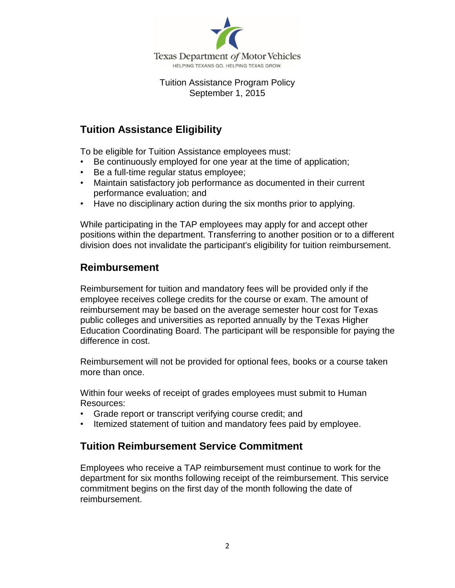

#### Tuition Assistance Program Policy September 1, 2015

## **Tuition Assistance Eligibility**

To be eligible for Tuition Assistance employees must:

- Be continuously employed for one year at the time of application;
- Be a full-time regular status employee;
- Maintain satisfactory job performance as documented in their current performance evaluation; and
- Have no disciplinary action during the six months prior to applying.

While participating in the TAP employees may apply for and accept other positions within the department. Transferring to another position or to a different division does not invalidate the participant's eligibility for tuition reimbursement.

#### **Reimbursement**

Reimbursement for tuition and mandatory fees will be provided only if the employee receives college credits for the course or exam. The amount of reimbursement may be based on the average semester hour cost for Texas public colleges and universities as reported annually by the Texas Higher Education Coordinating Board. The participant will be responsible for paying the difference in cost.

Reimbursement will not be provided for optional fees, books or a course taken more than once.

Within four weeks of receipt of grades employees must submit to Human Resources:

- Grade report or transcript verifying course credit; and
- Itemized statement of tuition and mandatory fees paid by employee.

### **Tuition Reimbursement Service Commitment**

Employees who receive a TAP reimbursement must continue to work for the department for six months following receipt of the reimbursement. This service commitment begins on the first day of the month following the date of reimbursement.